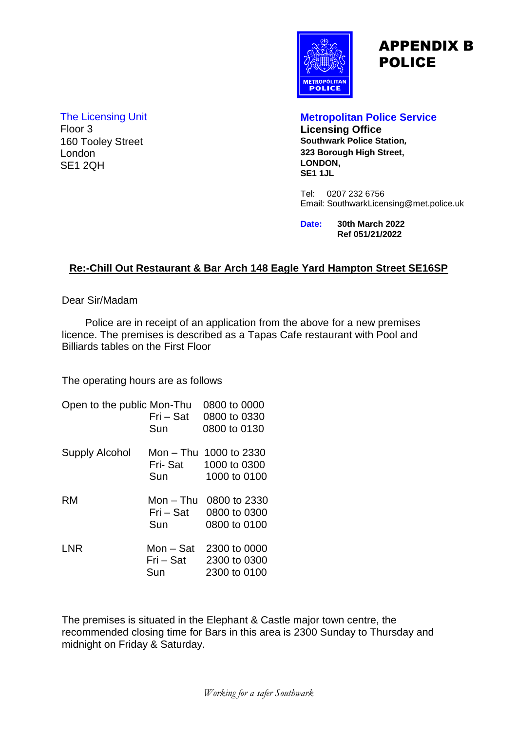

# APPENDIX B POLICE

### The Licensing Unit **Metropolitan Police Service** 160 Tooley Street London SE1 2QH

**Licensing Office**<br>Southwark Police Station, **323 Borough High Street, LONDON, SE1 1JL**

Tel: 0207 232 6756 Email: SouthwarkLicensing@met.police.uk

**Date: 30th March 2022 Ref 051/21/2022**

#### **Re:-Chill Out Restaurant & Bar Arch 148 Eagle Yard Hampton Street SE16SP**

Dear Sir/Madam

 Police are in receipt of an application from the above for a new premises licence. The premises is described as a Tapas Cafe restaurant with Pool and Billiards tables on the First Floor

The operating hours are as follows

| Open to the public Mon-Thu | 0800 to 0000           |
|----------------------------|------------------------|
| Fri – Sat                  | 0800 to 0330           |
| Sun                        | 0800 to 0130           |
|                            | Mon - Thu 1000 to 2330 |
| Fri- Sat                   | 1000 to 0300           |
| Sun                        | 1000 to 0100           |
| Mon – Thu                  | 0800 to 2330           |
| Fri – Sat                  | 0800 to 0300           |
| Sun                        | 0800 to 0100           |
| Mon - Sat                  | 2300 to 0000           |
|                            | 2300 to 0300           |
| Sun                        | 2300 to 0100           |
|                            | $Fri - Sat$            |

The premises is situated in the Elephant & Castle major town centre, the recommended closing time for Bars in this area is 2300 Sunday to Thursday and midnight on Friday & Saturday.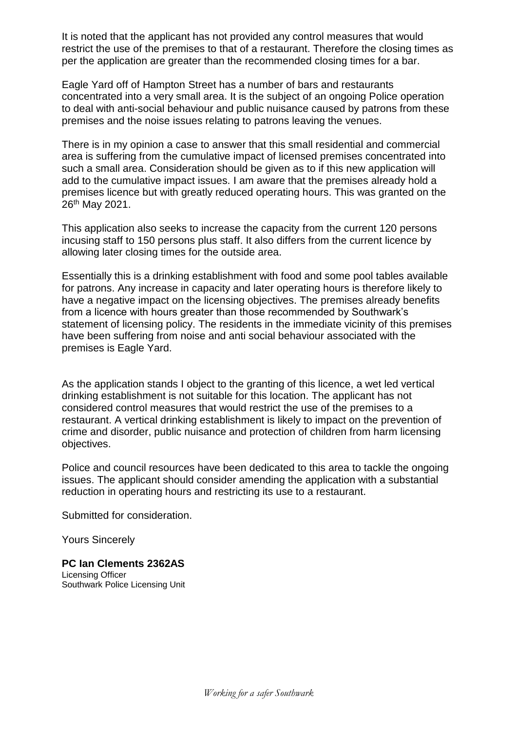It is noted that the applicant has not provided any control measures that would restrict the use of the premises to that of a restaurant. Therefore the closing times as per the application are greater than the recommended closing times for a bar.

Eagle Yard off of Hampton Street has a number of bars and restaurants concentrated into a very small area. It is the subject of an ongoing Police operation to deal with anti-social behaviour and public nuisance caused by patrons from these premises and the noise issues relating to patrons leaving the venues.

There is in my opinion a case to answer that this small residential and commercial area is suffering from the cumulative impact of licensed premises concentrated into such a small area. Consideration should be given as to if this new application will add to the cumulative impact issues. I am aware that the premises already hold a premises licence but with greatly reduced operating hours. This was granted on the 26th May 2021.

This application also seeks to increase the capacity from the current 120 persons incusing staff to 150 persons plus staff. It also differs from the current licence by allowing later closing times for the outside area.

Essentially this is a drinking establishment with food and some pool tables available for patrons. Any increase in capacity and later operating hours is therefore likely to have a negative impact on the licensing objectives. The premises already benefits from a licence with hours greater than those recommended by Southwark's statement of licensing policy. The residents in the immediate vicinity of this premises have been suffering from noise and anti social behaviour associated with the premises is Eagle Yard.

As the application stands I object to the granting of this licence, a wet led vertical drinking establishment is not suitable for this location. The applicant has not considered control measures that would restrict the use of the premises to a restaurant. A vertical drinking establishment is likely to impact on the prevention of crime and disorder, public nuisance and protection of children from harm licensing objectives.

Police and council resources have been dedicated to this area to tackle the ongoing issues. The applicant should consider amending the application with a substantial reduction in operating hours and restricting its use to a restaurant.

Submitted for consideration.

Yours Sincerely

**PC Ian Clements 2362AS** Licensing Officer Southwark Police Licensing Unit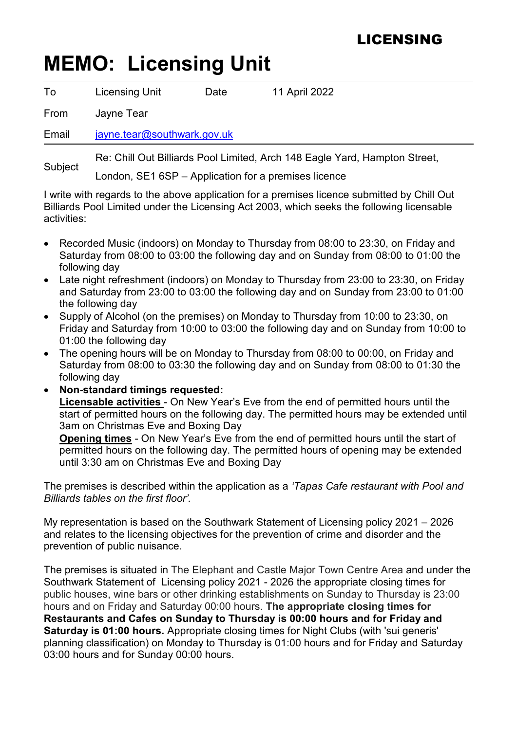## LICENSING

# **MEMO: Licensing Unit**

| To      | <b>Licensing Unit</b>                                                      | Date | 11 April 2022                                        |  |
|---------|----------------------------------------------------------------------------|------|------------------------------------------------------|--|
| From    | Jayne Tear                                                                 |      |                                                      |  |
| Email   | jayne.tear@southwark.gov.uk                                                |      |                                                      |  |
| Subject | Re: Chill Out Billiards Pool Limited, Arch 148 Eagle Yard, Hampton Street, |      |                                                      |  |
|         |                                                                            |      | London, SE1 6SP – Application for a premises licence |  |

I write with regards to the above application for a premises licence submitted by Chill Out Billiards Pool Limited under the Licensing Act 2003, which seeks the following licensable activities:

- Recorded Music (indoors) on Monday to Thursday from 08:00 to 23:30, on Friday and Saturday from 08:00 to 03:00 the following day and on Sunday from 08:00 to 01:00 the following day
- Late night refreshment (indoors) on Monday to Thursday from 23:00 to 23:30, on Friday and Saturday from 23:00 to 03:00 the following day and on Sunday from 23:00 to 01:00 the following day
- Supply of Alcohol (on the premises) on Monday to Thursday from 10:00 to 23:30, on Friday and Saturday from 10:00 to 03:00 the following day and on Sunday from 10:00 to 01:00 the following day
- The opening hours will be on Monday to Thursday from 08:00 to 00:00, on Friday and Saturday from 08:00 to 03:30 the following day and on Sunday from 08:00 to 01:30 the following day

• **Non-standard timings requested: Licensable activities** - On New Year's Eve from the end of permitted hours until the start of permitted hours on the following day. The permitted hours may be extended until 3am on Christmas Eve and Boxing Day

**Opening times** - On New Year's Eve from the end of permitted hours until the start of permitted hours on the following day. The permitted hours of opening may be extended until 3:30 am on Christmas Eve and Boxing Day

The premises is described within the application as a *'Tapas Cafe restaurant with Pool and Billiards tables on the first floor'.*

My representation is based on the Southwark Statement of Licensing policy 2021 – 2026 and relates to the licensing objectives for the prevention of crime and disorder and the prevention of public nuisance.

The premises is situated in The Elephant and Castle Major Town Centre Area and under the Southwark Statement of Licensing policy 2021 - 2026 the appropriate closing times for public houses, wine bars or other drinking establishments on Sunday to Thursday is 23:00 hours and on Friday and Saturday 00:00 hours. **The appropriate closing times for Restaurants and Cafes on Sunday to Thursday is 00:00 hours and for Friday and Saturday is 01:00 hours.** Appropriate closing times for Night Clubs (with 'sui generis' planning classification) on Monday to Thursday is 01:00 hours and for Friday and Saturday 03:00 hours and for Sunday 00:00 hours.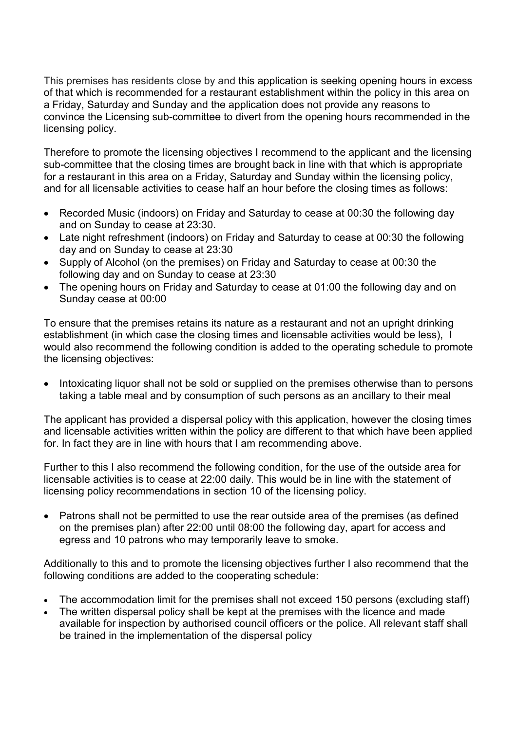This premises has residents close by and this application is seeking opening hours in excess of that which is recommended for a restaurant establishment within the policy in this area on a Friday, Saturday and Sunday and the application does not provide any reasons to convince the Licensing sub-committee to divert from the opening hours recommended in the licensing policy.

Therefore to promote the licensing objectives I recommend to the applicant and the licensing sub-committee that the closing times are brought back in line with that which is appropriate for a restaurant in this area on a Friday, Saturday and Sunday within the licensing policy, and for all licensable activities to cease half an hour before the closing times as follows:

- Recorded Music (indoors) on Friday and Saturday to cease at 00:30 the following day and on Sunday to cease at 23:30.
- Late night refreshment (indoors) on Friday and Saturday to cease at 00:30 the following day and on Sunday to cease at 23:30
- Supply of Alcohol (on the premises) on Friday and Saturday to cease at 00:30 the following day and on Sunday to cease at 23:30
- The opening hours on Friday and Saturday to cease at 01:00 the following day and on Sunday cease at 00:00

To ensure that the premises retains its nature as a restaurant and not an upright drinking establishment (in which case the closing times and licensable activities would be less), I would also recommend the following condition is added to the operating schedule to promote the licensing objectives:

• Intoxicating liquor shall not be sold or supplied on the premises otherwise than to persons taking a table meal and by consumption of such persons as an ancillary to their meal

The applicant has provided a dispersal policy with this application, however the closing times and licensable activities written within the policy are different to that which have been applied for. In fact they are in line with hours that I am recommending above.

Further to this I also recommend the following condition, for the use of the outside area for licensable activities is to cease at 22:00 daily. This would be in line with the statement of licensing policy recommendations in section 10 of the licensing policy.

• Patrons shall not be permitted to use the rear outside area of the premises (as defined on the premises plan) after 22:00 until 08:00 the following day, apart for access and egress and 10 patrons who may temporarily leave to smoke.

Additionally to this and to promote the licensing objectives further I also recommend that the following conditions are added to the cooperating schedule:

- The accommodation limit for the premises shall not exceed 150 persons (excluding staff)
- The written dispersal policy shall be kept at the premises with the licence and made available for inspection by authorised council officers or the police. All relevant staff shall be trained in the implementation of the dispersal policy